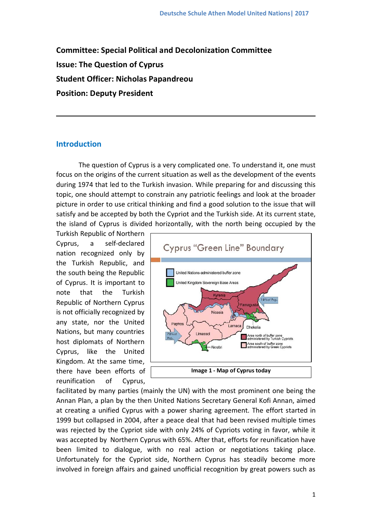**Committee: Special Political and Decolonization Committee Issue: The Question of Cyprus Student Officer: Nicholas Papandreou Position: Deputy President**

# **Introduction**

The question of Cyprus is a very complicated one. To understand it, one must focus on the origins of the current situation as well as the development of the events during 1974 that led to the Turkish invasion. While preparing for and discussing this topic, one should attempt to constrain any patriotic feelings and look at the broader picture in order to use critical thinking and find a good solution to the issue that will satisfy and be accepted by both the Cypriot and the Turkish side. At its current state, the island of Cyprus is divided horizontally, with the north being occupied by the

Turkish Republic of Northern Cyprus, a self-declared nation recognized only by the Turkish Republic, and the south being the Republic of Cyprus. It is important to note that the Turkish Republic of Northern Cyprus is not officially recognized by any state, nor the United Nations, but many countries host diplomats of Northern Cyprus, like the United Kingdom. At the same time, there have been efforts of reunification of Cyprus,



facilitated by many parties (mainly the UN) with the most prominent one being the Annan Plan, a plan by the then United Nations Secretary General Kofi Annan, aimed at creating a unified Cyprus with a power sharing agreement. The effort started in 1999 but collapsed in 2004, after a peace deal that had been revised multiple times was rejected by the Cypriot side with only 24% of Cypriots voting in favor, while it was accepted by Northern Cyprus with 65%. After that, efforts for reunification have been limited to dialogue, with no real action or negotiations taking place. Unfortunately for the Cypriot side, Northern Cyprus has steadily become more involved in foreign affairs and gained unofficial recognition by great powers such as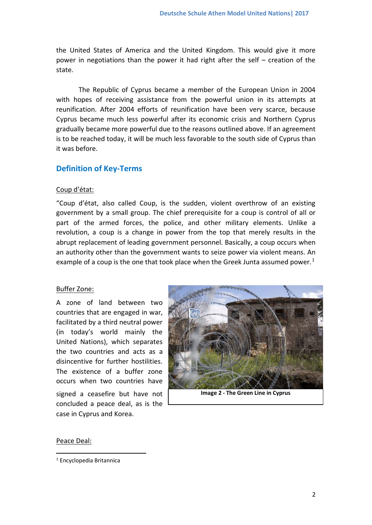the United States of America and the United Kingdom. This would give it more power in negotiations than the power it had right after the self – creation of the state.

The Republic of Cyprus became a member of the European Union in 2004 with hopes of receiving assistance from the powerful union in its attempts at reunification. After 2004 efforts of reunification have been very scarce, because Cyprus became much less powerful after its economic crisis and Northern Cyprus gradually became more powerful due to the reasons outlined above. If an agreement is to be reached today, it will be much less favorable to the south side of Cyprus than it was before.

# **Definition of Key-Terms**

# Coup d'état:

"Coup d'état, also called Coup, is the sudden, violent overthrow of an existing government by a small group. The chief prerequisite for a coup is control of all or part of the armed forces, the police, and other military elements. Unlike a revolution, a coup is a change in power from the top that merely results in the abrupt replacement of leading government personnel. Basically, a coup occurs when an authority other than the government wants to seize power via violent means. An example of a coup is the one that took place when the Greek Junta assumed power.<sup>[1](#page-1-0)</sup>

# Buffer Zone:

A zone of land between two countries that are engaged in war, facilitated by a third neutral power (in today's world mainly the United Nations), which separates the two countries and acts as a disincentive for further hostilities. The existence of a buffer zone occurs when two countries have signed a ceasefire but have not concluded a peace deal, as is the



**Image 2 - The Green Line in Cyprus**

#### Peace Deal:

**.** 

case in Cyprus and Korea.

<span id="page-1-0"></span><sup>1</sup> Encyclopedia Britannica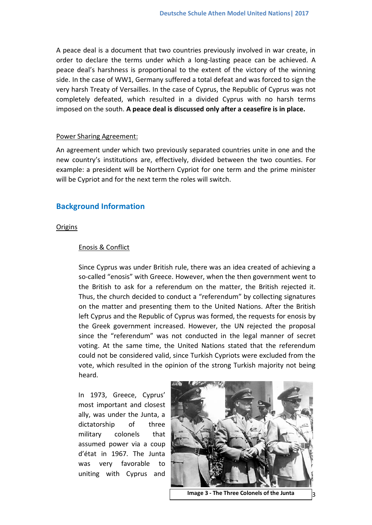A peace deal is a document that two countries previously involved in war create, in order to declare the terms under which a long-lasting peace can be achieved. A peace deal's harshness is proportional to the extent of the victory of the winning side. In the case of WW1, Germany suffered a total defeat and was forced to sign the very harsh Treaty of Versailles. In the case of Cyprus, the Republic of Cyprus was not completely defeated, which resulted in a divided Cyprus with no harsh terms imposed on the south. **A peace deal is discussed only after a ceasefire is in place.**

#### Power Sharing Agreement:

An agreement under which two previously separated countries unite in one and the new country's institutions are, effectively, divided between the two counties. For example: a president will be Northern Cypriot for one term and the prime minister will be Cypriot and for the next term the roles will switch.

# **Background Information**

#### **Origins**

#### Enosis & Conflict

Since Cyprus was under British rule, there was an idea created of achieving a so-called "enosis" with Greece. However, when the then government went to the British to ask for a referendum on the matter, the British rejected it. Thus, the church decided to conduct a "referendum" by collecting signatures on the matter and presenting them to the United Nations. After the British left Cyprus and the Republic of Cyprus was formed, the requests for enosis by the Greek government increased. However, the UN rejected the proposal since the "referendum" was not conducted in the legal manner of secret voting. At the same time, the United Nations stated that the referendum could not be considered valid, since Turkish Cypriots were excluded from the vote, which resulted in the opinion of the strong Turkish majority not being heard.

In 1973, Greece, Cyprus' most important and closest ally, was under the Junta, a dictatorship of three military colonels that assumed power via a coup d'état in 1967. The Junta was very favorable to uniting with Cyprus and



**Image 3 - The Three Colonels of the Junta**  $\begin{bmatrix} 3 \end{bmatrix}$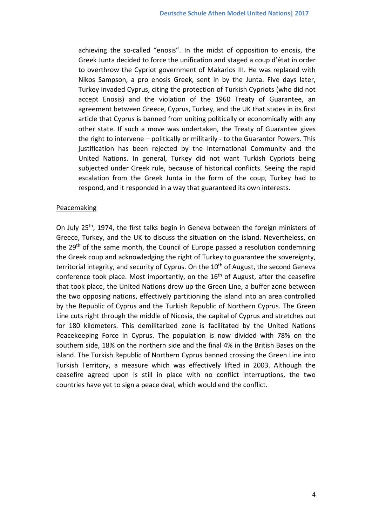achieving the so-called "enosis". In the midst of opposition to enosis, the Greek Junta decided to force the unification and staged a coup d'état in order to overthrow the Cypriot government of Makarios III. He was replaced with Nikos Sampson, a pro enosis Greek, sent in by the Junta. Five days later, Turkey invaded Cyprus, citing the protection of Turkish Cypriots (who did not accept Enosis) and the violation of the 1960 Treaty of Guarantee, an agreement between Greece, Cyprus, Turkey, and the UK that states in its first article that Cyprus is banned from uniting politically or economically with any other state. If such a move was undertaken, the Treaty of Guarantee gives the right to intervene – politically or militarily - to the Guarantor Powers. This justification has been rejected by the International Community and the United Nations. In general, Turkey did not want Turkish Cypriots being subjected under Greek rule, because of historical conflicts. Seeing the rapid escalation from the Greek Junta in the form of the coup, Turkey had to respond, and it responded in a way that guaranteed its own interests.

#### Peacemaking

On July 25<sup>th</sup>, 1974, the first talks begin in Geneva between the foreign ministers of Greece, Turkey, and the UK to discuss the situation on the island. Nevertheless, on the 29<sup>th</sup> of the same month, the Council of Europe passed a resolution condemning the Greek coup and acknowledging the right of Turkey to guarantee the sovereignty, territorial integrity, and security of Cyprus. On the 10<sup>th</sup> of August, the second Geneva conference took place. Most importantly, on the  $16<sup>th</sup>$  of August, after the ceasefire that took place, the United Nations drew up the Green Line, a buffer zone between the two opposing nations, effectively partitioning the island into an area controlled by the Republic of Cyprus and the Turkish Republic of Northern Cyprus. The Green Line cuts right through the middle of Nicosia, the capital of Cyprus and stretches out for 180 kilometers. This demilitarized zone is facilitated by the United Nations Peacekeeping Force in Cyprus. The population is now divided with 78% on the southern side, 18% on the northern side and the final 4% in the British Bases on the island. The Turkish Republic of Northern Cyprus banned crossing the Green Line into Turkish Territory, a measure which was effectively lifted in 2003. Although the ceasefire agreed upon is still in place with no conflict interruptions, the two countries have yet to sign a peace deal, which would end the conflict.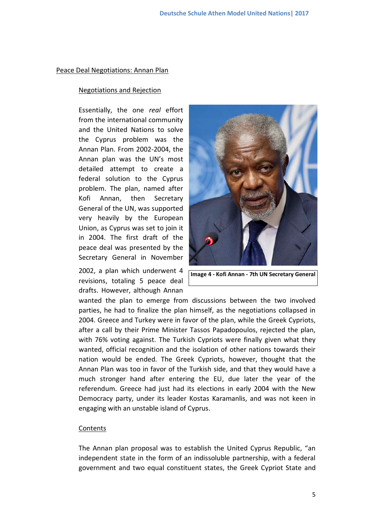#### Peace Deal Negotiations: Annan Plan

#### Negotiations and Rejection

Essentially, the one *real* effort from the international community and the United Nations to solve the Cyprus problem was the Annan Plan. From 2002-2004, the Annan plan was the UN's most detailed attempt to create a federal solution to the Cyprus problem. The plan, named after Kofi Annan, then Secretary General of the UN, was supported very heavily by the European Union, as Cyprus was set to join it in 2004. The first draft of the peace deal was presented by the Secretary General in November

2002, a plan which underwent 4 revisions, totaling 5 peace deal drafts. However, although Annan



**Image 4 - Kofi Annan - 7th UN Secretary General**

wanted the plan to emerge from discussions between the two involved parties, he had to finalize the plan himself, as the negotiations collapsed in 2004. Greece and Turkey were in favor of the plan, while the Greek Cypriots, after a call by their Prime Minister Tassos Papadopoulos, rejected the plan, with 76% voting against. The Turkish Cypriots were finally given what they wanted, official recognition and the isolation of other nations towards their nation would be ended. The Greek Cypriots, however, thought that the Annan Plan was too in favor of the Turkish side, and that they would have a much stronger hand after entering the EU, due later the year of the referendum. Greece had just had its elections in early 2004 with the New Democracy party, under its leader Kostas Karamanlis, and was not keen in engaging with an unstable island of Cyprus.

#### Contents

The Annan plan proposal was to establish the United Cyprus Republic, "an independent state in the form of an indissoluble partnership, with a federal government and two equal constituent states, the Greek Cypriot State and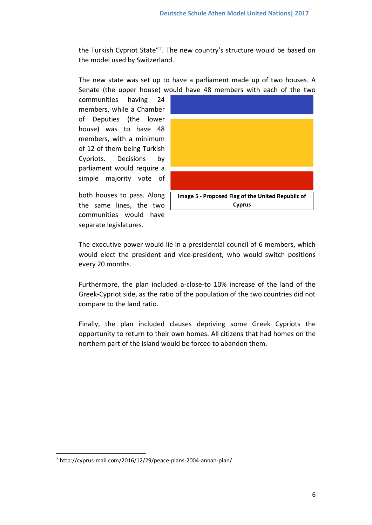the Turkish Cypriot State"<sup>[2](#page-5-0)</sup>. The new country's structure would be based on the model used by Switzerland.

The new state was set up to have a parliament made up of two houses. A Senate (the upper house) would have 48 members with each of the two

communities having 24 members, while a Chamber of Deputies (the lower house) was to have 48 members, with a minimum of 12 of them being Turkish Cypriots. Decisions by parliament would require a simple majority vote of

both houses to pass. Along the same lines, the two communities would have separate legislatures.



The executive power would lie in a presidential council of 6 members, which would elect the president and vice-president, who would switch positions every 20 months.

Furthermore, the plan included a-close-to 10% increase of the land of the Greek-Cypriot side, as the ratio of the population of the two countries did not compare to the land ratio.

Finally, the plan included clauses depriving some Greek Cypriots the opportunity to return to their own homes. All citizens that had homes on the northern part of the island would be forced to abandon them.

**.** 

<span id="page-5-0"></span><sup>2</sup> http://cyprus-mail.com/2016/12/29/peace-plans-2004-annan-plan/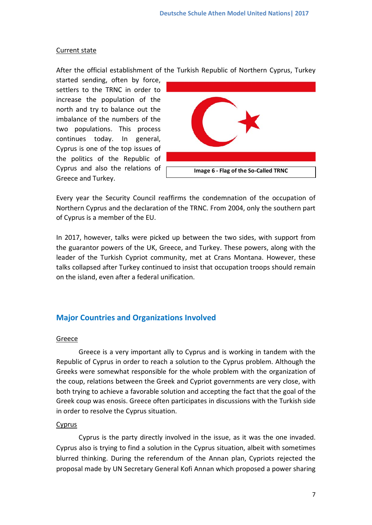#### Current state

After the official establishment of the Turkish Republic of Northern Cyprus, Turkey

started sending, often by force, settlers to the TRNC in order to increase the population of the north and try to balance out the imbalance of the numbers of the two populations. This process continues today. In general, Cyprus is one of the top issues of the politics of the Republic of Cyprus and also the relations of Greece and Turkey.



Every year the Security Council reaffirms the condemnation of the occupation of Northern Cyprus and the declaration of the TRNC. From 2004, only the southern part of Cyprus is a member of the EU.

In 2017, however, talks were picked up between the two sides, with support from the guarantor powers of the UK, Greece, and Turkey. These powers, along with the leader of the Turkish Cypriot community, met at Crans Montana. However, these talks collapsed after Turkey continued to insist that occupation troops should remain on the island, even after a federal unification.

# **Major Countries and Organizations Involved**

# Greece

Greece is a very important ally to Cyprus and is working in tandem with the Republic of Cyprus in order to reach a solution to the Cyprus problem. Although the Greeks were somewhat responsible for the whole problem with the organization of the coup, relations between the Greek and Cypriot governments are very close, with both trying to achieve a favorable solution and accepting the fact that the goal of the Greek coup was enosis. Greece often participates in discussions with the Turkish side in order to resolve the Cyprus situation.

#### Cyprus

Cyprus is the party directly involved in the issue, as it was the one invaded. Cyprus also is trying to find a solution in the Cyprus situation, albeit with sometimes blurred thinking. During the referendum of the Annan plan, Cypriots rejected the proposal made by UN Secretary General Kofi Annan which proposed a power sharing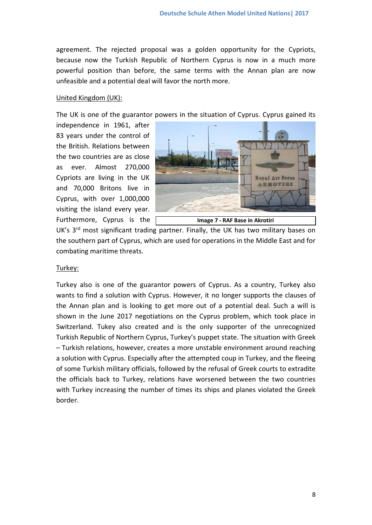agreement. The rejected proposal was a golden opportunity for the Cypriots, because now the Turkish Republic of Northern Cyprus is now in a much more powerful position than before, the same terms with the Annan plan are now unfeasible and a potential deal will favor the north more.

#### United Kingdom (UK):

The UK is one of the guarantor powers in the situation of Cyprus. Cyprus gained its

independence in 1961, after 83 years under the control of the British. Relations between the two countries are as close as ever. Almost 270,000 Cypriots are living in the UK and 70,000 Britons live in Cyprus, with over 1,000,000 visiting the island every year. Furthermore, Cyprus is the



UK's 3<sup>rd</sup> most significant trading partner. Finally, the UK has two military bases on the southern part of Cyprus, which are used for operations in the Middle East and for combating maritime threats.

#### Turkey:

Turkey also is one of the guarantor powers of Cyprus. As a country, Turkey also wants to find a solution with Cyprus. However, it no longer supports the clauses of the Annan plan and is looking to get more out of a potential deal. Such a will is shown in the June 2017 negotiations on the Cyprus problem, which took place in Switzerland. Tukey also created and is the only supporter of the unrecognized Turkish Republic of Northern Cyprus, Turkey's puppet state. The situation with Greek – Turkish relations, however, creates a more unstable environment around reaching a solution with Cyprus. Especially after the attempted coup in Turkey, and the fleeing of some Turkish military officials, followed by the refusal of Greek courts to extradite the officials back to Turkey, relations have worsened between the two countries with Turkey increasing the number of times its ships and planes violated the Greek border.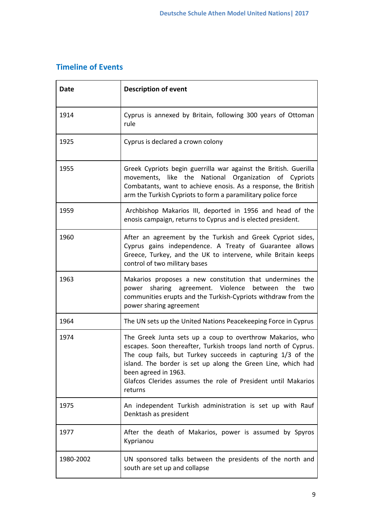# **Timeline of Events**

| <b>Date</b> | <b>Description of event</b>                                                                                                                                                                                                                                                                                                                                    |
|-------------|----------------------------------------------------------------------------------------------------------------------------------------------------------------------------------------------------------------------------------------------------------------------------------------------------------------------------------------------------------------|
| 1914        | Cyprus is annexed by Britain, following 300 years of Ottoman<br>rule                                                                                                                                                                                                                                                                                           |
| 1925        | Cyprus is declared a crown colony                                                                                                                                                                                                                                                                                                                              |
| 1955        | Greek Cypriots begin guerrilla war against the British. Guerilla<br>movements, like the National Organization of Cypriots<br>Combatants, want to achieve enosis. As a response, the British<br>arm the Turkish Cypriots to form a paramilitary police force                                                                                                    |
| 1959        | Archbishop Makarios III, deported in 1956 and head of the<br>enosis campaign, returns to Cyprus and is elected president.                                                                                                                                                                                                                                      |
| 1960        | After an agreement by the Turkish and Greek Cypriot sides,<br>Cyprus gains independence. A Treaty of Guarantee allows<br>Greece, Turkey, and the UK to intervene, while Britain keeps<br>control of two military bases                                                                                                                                         |
| 1963        | Makarios proposes a new constitution that undermines the<br>power sharing agreement. Violence between<br>the<br>two<br>communities erupts and the Turkish-Cypriots withdraw from the<br>power sharing agreement                                                                                                                                                |
| 1964        | The UN sets up the United Nations Peacekeeping Force in Cyprus                                                                                                                                                                                                                                                                                                 |
| 1974        | The Greek Junta sets up a coup to overthrow Makarios, who<br>escapes. Soon thereafter, Turkish troops land north of Cyprus.<br>The coup fails, but Turkey succeeds in capturing 1/3 of the<br>island. The border is set up along the Green Line, which had<br>been agreed in 1963.<br>Glafcos Clerides assumes the role of President until Makarios<br>returns |
| 1975        | An independent Turkish administration is set up with Rauf<br>Denktash as president                                                                                                                                                                                                                                                                             |
| 1977        | After the death of Makarios, power is assumed by Spyros<br>Kyprianou                                                                                                                                                                                                                                                                                           |
| 1980-2002   | UN sponsored talks between the presidents of the north and<br>south are set up and collapse                                                                                                                                                                                                                                                                    |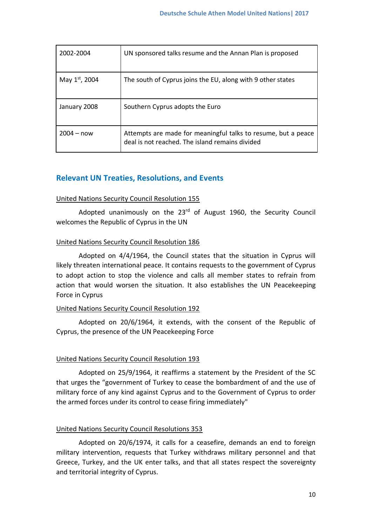| 2002-2004     | UN sponsored talks resume and the Annan Plan is proposed                                                         |
|---------------|------------------------------------------------------------------------------------------------------------------|
| May 1st, 2004 | The south of Cyprus joins the EU, along with 9 other states                                                      |
| January 2008  | Southern Cyprus adopts the Euro                                                                                  |
| $2004 - now$  | Attempts are made for meaningful talks to resume, but a peace<br>deal is not reached. The island remains divided |

# **Relevant UN Treaties, Resolutions, and Events**

# United Nations Security Council Resolution 155

Adopted unanimously on the 23<sup>rd</sup> of August 1960, the Security Council welcomes the Republic of Cyprus in the UN

# United Nations Security Council Resolution 186

Adopted on 4/4/1964, the Council states that the situation in Cyprus will likely threaten international peace. It contains requests to the government of Cyprus to adopt action to stop the violence and calls all member states to refrain from action that would worsen the situation. It also establishes the UN Peacekeeping Force in Cyprus

# United Nations Security Council Resolution 192

Adopted on 20/6/1964, it extends, with the consent of the Republic of Cyprus, the presence of the UN Peacekeeping Force

# United Nations Security Council Resolution 193

Adopted on 25/9/1964, it reaffirms a statement by the President of the SC that urges the "government of Turkey to cease the bombardment of and the use of military force of any kind against Cyprus and to the Government of Cyprus to order the armed forces under its control to cease firing immediately"

# United Nations Security Council Resolutions 353

Adopted on 20/6/1974, it calls for a ceasefire, demands an end to foreign military intervention, requests that Turkey withdraws military personnel and that Greece, Turkey, and the UK enter talks, and that all states respect the sovereignty and territorial integrity of Cyprus.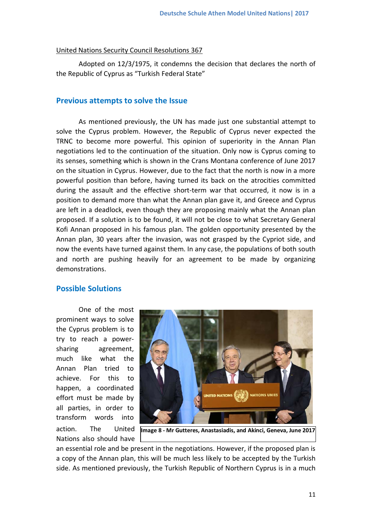#### United Nations Security Council Resolutions 367

Adopted on 12/3/1975, it condemns the decision that declares the north of the Republic of Cyprus as "Turkish Federal State"

# **Previous attempts to solve the Issue**

As mentioned previously, the UN has made just one substantial attempt to solve the Cyprus problem. However, the Republic of Cyprus never expected the TRNC to become more powerful. This opinion of superiority in the Annan Plan negotiations led to the continuation of the situation. Only now is Cyprus coming to its senses, something which is shown in the Crans Montana conference of June 2017 on the situation in Cyprus. However, due to the fact that the north is now in a more powerful position than before, having turned its back on the atrocities committed during the assault and the effective short-term war that occurred, it now is in a position to demand more than what the Annan plan gave it, and Greece and Cyprus are left in a deadlock, even though they are proposing mainly what the Annan plan proposed. If a solution is to be found, it will not be close to what Secretary General Kofi Annan proposed in his famous plan. The golden opportunity presented by the Annan plan, 30 years after the invasion, was not grasped by the Cypriot side, and now the events have turned against them. In any case, the populations of both south and north are pushing heavily for an agreement to be made by organizing demonstrations.

# **Possible Solutions**

One of the most prominent ways to solve the Cyprus problem is to try to reach a powersharing agreement, much like what the Annan Plan tried to achieve. For this to happen, a coordinated effort must be made by all parties, in order to transform words into action. The United Nations also should have



**Image 8 - Mr Gutteres, Anastasiadis, and Akinci, Geneva, June 2017**

an essential role and be present in the negotiations. However, if the proposed plan is a copy of the Annan plan, this will be much less likely to be accepted by the Turkish side. As mentioned previously, the Turkish Republic of Northern Cyprus is in a much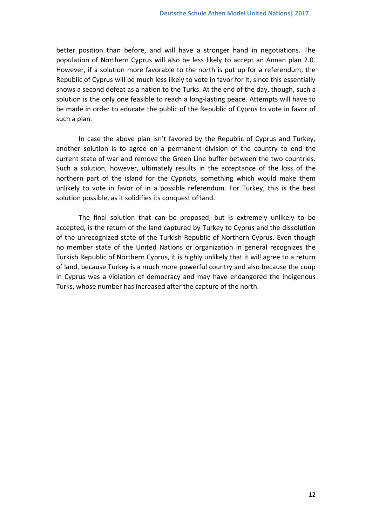better position than before, and will have a stronger hand in negotiations. The population of Northern Cyprus will also be less likely to accept an Annan plan 2.0. However, if a solution more favorable to the north is put up for a referendum, the Republic of Cyprus will be much less likely to vote in favor for it, since this essentially shows a second defeat as a nation to the Turks. At the end of the day, though, such a solution is the only one feasible to reach a long-lasting peace. Attempts will have to be made in order to educate the public of the Republic of Cyprus to vote in favor of such a plan.

In case the above plan isn't favored by the Republic of Cyprus and Turkey, another solution is to agree on a permanent division of the country to end the current state of war and remove the Green Line buffer between the two countries. Such a solution, however, ultimately results in the acceptance of the loss of the northern part of the island for the Cypriots, something which would make them unlikely to vote in favor of in a possible referendum. For Turkey, this is the best solution possible, as it solidifies its conquest of land.

The final solution that can be proposed, but is extremely unlikely to be accepted, is the return of the land captured by Turkey to Cyprus and the dissolution of the unrecognized state of the Turkish Republic of Northern Cyprus. Even though no member state of the United Nations or organization in general recognizes the Turkish Republic of Northern Cyprus, it is highly unlikely that it will agree to a return of land, because Turkey is a much more powerful country and also because the coup in Cyprus was a violation of democracy and may have endangered the indigenous Turks, whose number has increased after the capture of the north.